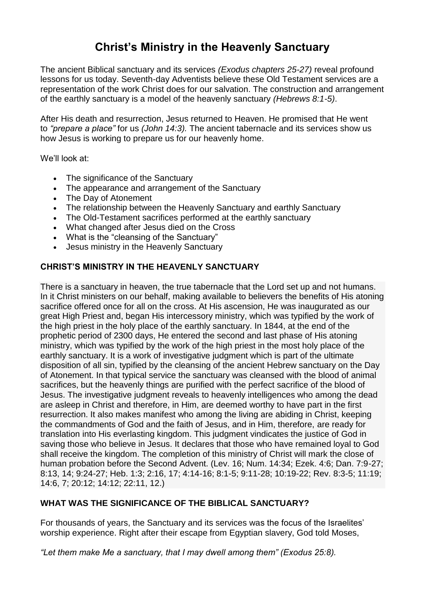# **Christ's Ministry in the Heavenly Sanctuary**

The ancient Biblical sanctuary and its services *(Exodus chapters 25-27)* reveal profound lessons for us today. Seventh-day Adventists believe these Old Testament services are a representation of the work Christ does for our salvation. The construction and arrangement of the earthly sanctuary is a model of the heavenly sanctuary *(Hebrews 8:1-5)*.

After His death and resurrection, Jesus returned to Heaven. He promised that He went to *"prepare a place"* for us *(John 14:3).* The ancient tabernacle and its services show us how Jesus is working to prepare us for our heavenly home.

We'll look at:

- The significance of the Sanctuary
- The appearance and arrangement of the Sanctuary
- The Day of Atonement
- The relationship between the Heavenly Sanctuary and earthly Sanctuary
- The Old-Testament sacrifices performed at the earthly sanctuary
- What changed after Jesus died on the Cross
- What is the "cleansing of the Sanctuary"
- Jesus ministry in the Heavenly Sanctuary

# **CHRIST'S MINISTRY IN THE HEAVENLY SANCTUARY**

There is a sanctuary in heaven, the true tabernacle that the Lord set up and not humans. In it Christ ministers on our behalf, making available to believers the benefits of His atoning sacrifice offered once for all on the cross. At His ascension, He was inaugurated as our great High Priest and, began His intercessory ministry, which was typified by the work of the high priest in the holy place of the earthly sanctuary. In 1844, at the end of the prophetic period of 2300 days, He entered the second and last phase of His atoning ministry, which was typified by the work of the high priest in the most holy place of the earthly sanctuary. It is a work of investigative judgment which is part of the ultimate disposition of all sin, typified by the cleansing of the ancient Hebrew sanctuary on the Day of Atonement. In that typical service the sanctuary was cleansed with the blood of animal sacrifices, but the heavenly things are purified with the perfect sacrifice of the blood of Jesus. The investigative judgment reveals to heavenly intelligences who among the dead are asleep in Christ and therefore, in Him, are deemed worthy to have part in the first resurrection. It also makes manifest who among the living are abiding in Christ, keeping the commandments of God and the faith of Jesus, and in Him, therefore, are ready for translation into His everlasting kingdom. This judgment vindicates the justice of God in saving those who believe in Jesus. It declares that those who have remained loyal to God shall receive the kingdom. The completion of this ministry of Christ will mark the close of human probation before the Second Advent. (Lev. 16; Num. 14:34; Ezek. 4:6; Dan. 7:9-27; 8:13, 14; 9:24-27; Heb. 1:3; 2:16, 17; 4:14-16; 8:1-5; 9:11-28; 10:19-22; Rev. 8:3-5; 11:19; 14:6, 7; 20:12; 14:12; 22:11, 12.)

# **WHAT WAS THE SIGNIFICANCE OF THE BIBLICAL SANCTUARY?**

For thousands of years, the Sanctuary and its services was the focus of the Israelites' worship experience. Right after their escape from Egyptian slavery, God told Moses,

*"Let them make Me a sanctuary, that I may dwell among them" (Exodus 25:8).*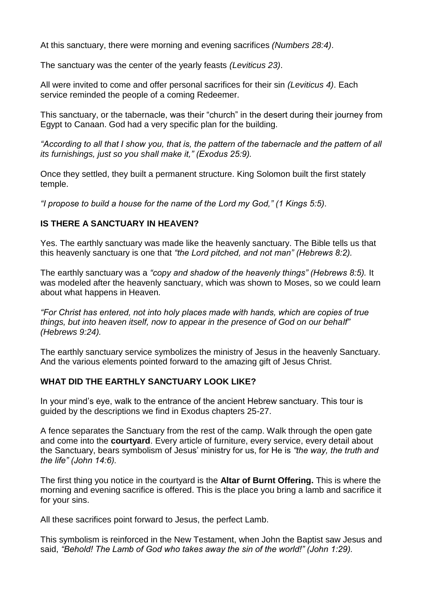At this sanctuary, there were morning and evening sacrifices *(Numbers 28:4)*.

The sanctuary was the center of the yearly feasts *(Leviticus 23)*.

All were invited to come and offer personal sacrifices for their sin *(Leviticus 4)*. Each service reminded the people of a coming Redeemer.

This sanctuary, or the tabernacle, was their "church" in the desert during their journey from Egypt to Canaan. God had a very specific plan for the building.

*"According to all that I show you, that is, the pattern of the tabernacle and the pattern of all its furnishings, just so you shall make it," (Exodus 25:9).*

Once they settled, they built a permanent structure. King Solomon built the first stately temple.

*"I propose to build a house for the name of the Lord my God," (1 Kings 5:5)*.

## **IS THERE A SANCTUARY IN HEAVEN?**

Yes. The earthly sanctuary was made like the heavenly sanctuary. The Bible tells us that this heavenly sanctuary is one that *"the Lord pitched, and not man" (Hebrews 8:2).*

The earthly sanctuary was a *"copy and shadow of the heavenly things" (Hebrews 8:5).* It was modeled after the heavenly sanctuary, which was shown to Moses, so we could learn about what happens in Heaven*.*

*"For Christ has entered, not into holy places made with hands, which are copies of true things, but into heaven itself, now to appear in the presence of God on our behalf" (Hebrews 9:24).*

The earthly sanctuary service symbolizes the ministry of Jesus in the heavenly Sanctuary. And the various elements pointed forward to the amazing gift of Jesus Christ.

### **WHAT DID THE EARTHLY SANCTUARY LOOK LIKE?**

In your mind's eye, walk to the entrance of the ancient Hebrew sanctuary. This tour is guided by the descriptions we find in Exodus chapters 25-27.

A fence separates the Sanctuary from the rest of the camp. Walk through the open gate and come into the **courtyard**. Every article of furniture, every service, every detail about the Sanctuary, bears symbolism of Jesus' ministry for us, for He is *"the way, the truth and the life" (John 14:6).*

The first thing you notice in the courtyard is the **Altar of Burnt Offering.** This is where the morning and evening sacrifice is offered. This is the place you bring a lamb and sacrifice it for your sins.

All these sacrifices point forward to Jesus, the perfect Lamb.

This symbolism is reinforced in the New Testament, when John the Baptist saw Jesus and said, *"Behold! The Lamb of God who takes away the sin of the world!" (John 1:29).*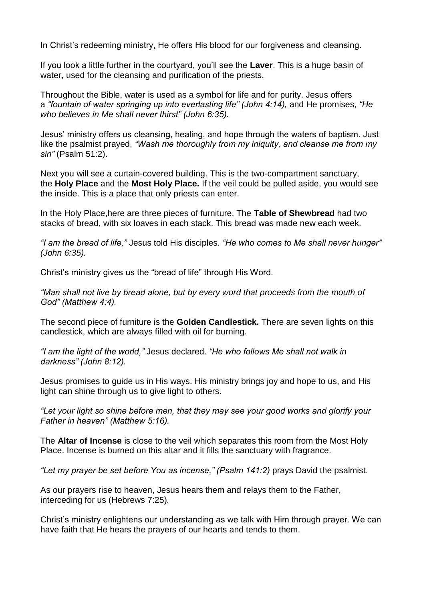In Christ's redeeming ministry, He offers His blood for our forgiveness and cleansing.

If you look a little further in the courtyard, you'll see the **Laver**. This is a huge basin of water, used for the cleansing and purification of the priests.

Throughout the Bible, water is used as a symbol for life and for purity. Jesus offers a *"fountain of water springing up into everlasting life" (John 4:14),* and He promises, *"He who believes in Me shall never thirst" (John 6:35).*

Jesus' ministry offers us cleansing, healing, and hope through the waters of baptism. Just like the psalmist prayed, *"Wash me thoroughly from my iniquity, and cleanse me from my sin"* (Psalm 51:2).

Next you will see a curtain-covered building. This is the two-compartment sanctuary, the **Holy Place** and the **Most Holy Place.** If the veil could be pulled aside, you would see the inside. This is a place that only priests can enter.

In the Holy Place,here are three pieces of furniture. The **Table of Shewbread** had two stacks of bread, with six loaves in each stack. This bread was made new each week.

*"I am the bread of life,"* Jesus told His disciples. *"He who comes to Me shall never hunger" (John 6:35).*

Christ's ministry gives us the "bread of life" through His Word.

*"Man shall not live by bread alone, but by every word that proceeds from the mouth of God" (Matthew 4:4).*

The second piece of furniture is the **Golden Candlestick.** There are seven lights on this candlestick, which are always filled with oil for burning.

*"I am the light of the world,"* Jesus declared. *"He who follows Me shall not walk in darkness" (John 8:12).*

Jesus promises to guide us in His ways. His ministry brings joy and hope to us, and His light can shine through us to give light to others.

*"Let your light so shine before men, that they may see your good works and glorify your Father in heaven" (Matthew 5:16).*

The **Altar of Incense** is close to the veil which separates this room from the Most Holy Place. Incense is burned on this altar and it fills the sanctuary with fragrance.

*"Let my prayer be set before You as incense," (Psalm 141:2)* prays David the psalmist.

As our prayers rise to heaven, Jesus hears them and relays them to the Father, interceding for us (Hebrews 7:25)*.*

Christ's ministry enlightens our understanding as we talk with Him through prayer. We can have faith that He hears the prayers of our hearts and tends to them.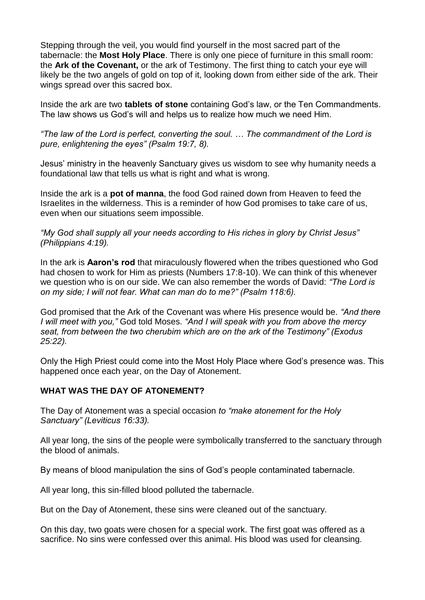Stepping through the veil, you would find yourself in the most sacred part of the tabernacle: the **Most Holy Place**. There is only one piece of furniture in this small room: the **Ark of the Covenant,** or the ark of Testimony. The first thing to catch your eye will likely be the two angels of gold on top of it, looking down from either side of the ark. Their wings spread over this sacred box.

Inside the ark are two **tablets of stone** containing God's law, or the Ten Commandments. The law shows us God's will and helps us to realize how much we need Him*.*

*"The law of the Lord is perfect, converting the soul. … The commandment of the Lord is pure, enlightening the eyes" (Psalm 19:7, 8).*

Jesus' ministry in the heavenly Sanctuary gives us wisdom to see why humanity needs a foundational law that tells us what is right and what is wrong.

Inside the ark is a **pot of manna**, the food God rained down from Heaven to feed the Israelites in the wilderness. This is a reminder of how God promises to take care of us, even when our situations seem impossible.

*"My God shall supply all your needs according to His riches in glory by Christ Jesus" (Philippians 4:19).*

In the ark is **Aaron's rod** that miraculously flowered when the tribes questioned who God had chosen to work for Him as priests (Numbers 17:8-10). We can think of this whenever we question who is on our side. We can also remember the words of David: *"The Lord is on my side; I will not fear. What can man do to me?" (Psalm 118:6).*

God promised that the Ark of the Covenant was where His presence would be. *"And there I will meet with you,"* God told Moses. *"And I will speak with you from above the mercy seat, from between the two cherubim which are on the ark of the Testimony" (Exodus 25:22).*

Only the High Priest could come into the Most Holy Place where God's presence was. This happened once each year, on the Day of Atonement.

### **WHAT WAS THE DAY OF ATONEMENT?**

The Day of Atonement was a special occasion *to "make atonement for the Holy Sanctuary" (Leviticus 16:33).*

All year long, the sins of the people were symbolically transferred to the sanctuary through the blood of animals.

By means of blood manipulation the sins of God's people contaminated tabernacle.

All year long, this sin-filled blood polluted the tabernacle.

But on the Day of Atonement, these sins were cleaned out of the sanctuary.

On this day, two goats were chosen for a special work. The first goat was offered as a sacrifice. No sins were confessed over this animal. His blood was used for cleansing.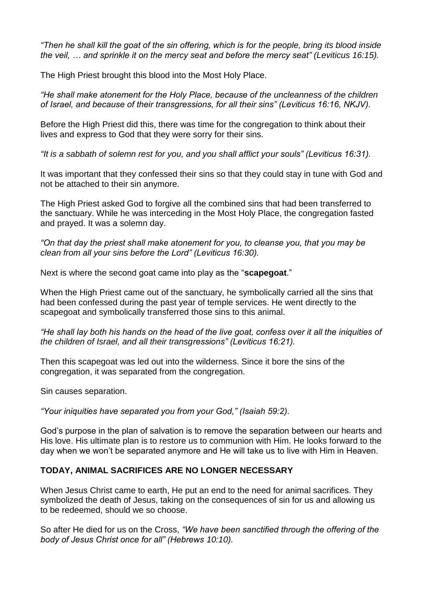*"Then he shall kill the goat of the sin offering, which is for the people, bring its blood inside the veil, … and sprinkle it on the mercy seat and before the mercy seat" (Leviticus 16:15).*

The High Priest brought this blood into the Most Holy Place.

*"He shall make atonement for the Holy Place, because of the uncleanness of the children of Israel, and because of their transgressions, for all their sins" (Leviticus 16:16, NKJV).*

Before the High Priest did this, there was time for the congregation to think about their lives and express to God that they were sorry for their sins.

*"It is a sabbath of solemn rest for you, and you shall afflict your souls" (Leviticus 16:31).*

It was important that they confessed their sins so that they could stay in tune with God and not be attached to their sin anymore.

The High Priest asked God to forgive all the combined sins that had been transferred to the sanctuary. While he was interceding in the Most Holy Place, the congregation fasted and prayed. It was a solemn day.

*"On that day the priest shall make atonement for you, to cleanse you, that you may be clean from all your sins before the Lord" (Leviticus 16:30).*

Next is where the second goat came into play as the "**scapegoat**."

When the High Priest came out of the sanctuary, he symbolically carried all the sins that had been confessed during the past year of temple services. He went directly to the scapegoat and symbolically transferred those sins to this animal.

*"He shall lay both his hands on the head of the live goat, confess over it all the iniquities of the children of Israel, and all their transgressions" (Leviticus 16:21).*

Then this scapegoat was led out into the wilderness. Since it bore the sins of the congregation, it was separated from the congregation.

Sin causes separation.

*"Your iniquities have separated you from your God," (Isaiah 59:2)*.

God's purpose in the plan of salvation is to remove the separation between our hearts and His love. His ultimate plan is to restore us to communion with Him. He looks forward to the day when we won't be separated anymore and He will take us to live with Him in Heaven.

# **TODAY, ANIMAL SACRIFICES ARE NO LONGER NECESSARY**

When Jesus Christ came to earth, He put an end to the need for animal sacrifices. They symbolized the death of Jesus, taking on the consequences of sin for us and allowing us to be redeemed, should we so choose.

So after He died for us on the Cross, *"We have been sanctified through the offering of the body of Jesus Christ once for all" (Hebrews 10:10).*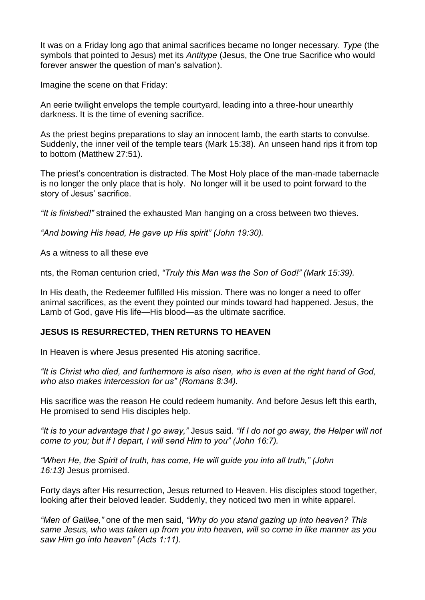It was on a Friday long ago that animal sacrifices became no longer necessary. *Type* (the symbols that pointed to Jesus) met its *Antitype* (Jesus, the One true Sacrifice who would forever answer the question of man's salvation).

Imagine the scene on that Friday:

An eerie twilight envelops the temple courtyard, leading into a three-hour unearthly darkness. It is the time of evening sacrifice.

As the priest begins preparations to slay an innocent lamb, the earth starts to convulse. Suddenly, the inner veil of the temple tears (Mark 15:38)*.* An unseen hand rips it from top to bottom (Matthew 27:51).

The priest's concentration is distracted. The Most Holy place of the man-made tabernacle is no longer the only place that is holy. No longer will it be used to point forward to the story of Jesus' sacrifice.

*"It is finished!"* strained the exhausted Man hanging on a cross between two thieves.

*"And bowing His head, He gave up His spirit" (John 19:30).*

As a witness to all these eve

nts, the Roman centurion cried, *"Truly this Man was the Son of God!" (Mark 15:39).*

In His death, the Redeemer fulfilled His mission. There was no longer a need to offer animal sacrifices, as the event they pointed our minds toward had happened. Jesus, the Lamb of God, gave His life—His blood—as the ultimate sacrifice.

### **JESUS IS RESURRECTED, THEN RETURNS TO HEAVEN**

In Heaven is where Jesus presented His atoning sacrifice.

*"It is Christ who died, and furthermore is also risen, who is even at the right hand of God, who also makes intercession for us" (Romans 8:34).*

His sacrifice was the reason He could redeem humanity. And before Jesus left this earth, He promised to send His disciples help.

*"It is to your advantage that I go away,"* Jesus said. *"If I do not go away, the Helper will not come to you; but if I depart, I will send Him to you" (John 16:7).*

*"When He, the Spirit of truth, has come, He will guide you into all truth," (John 16:13)* Jesus promised.

Forty days after His resurrection, Jesus returned to Heaven. His disciples stood together, looking after their beloved leader. Suddenly, they noticed two men in white apparel.

*"Men of Galilee,"* one of the men said, *"Why do you stand gazing up into heaven? This same Jesus, who was taken up from you into heaven, will so come in like manner as you saw Him go into heaven" (Acts 1:11).*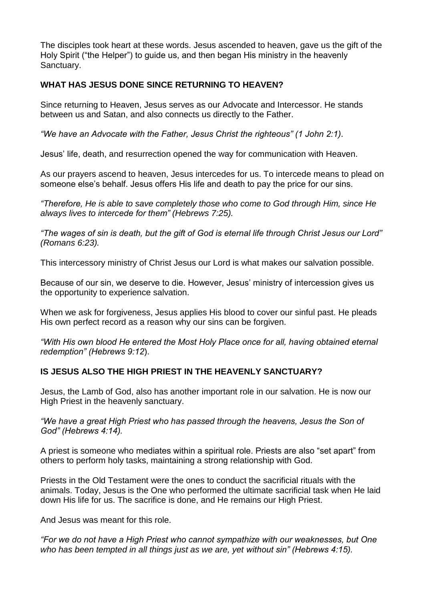The disciples took heart at these words. Jesus ascended to heaven, gave us the gift of the Holy Spirit ("the Helper") to guide us, and then began His ministry in the heavenly Sanctuary.

# **WHAT HAS JESUS DONE SINCE RETURNING TO HEAVEN?**

Since returning to Heaven, Jesus serves as our Advocate and Intercessor. He stands between us and Satan, and also connects us directly to the Father.

*"We have an Advocate with the Father, Jesus Christ the righteous" (1 John 2:1)*.

Jesus' life, death, and resurrection opened the way for communication with Heaven.

As our prayers ascend to heaven, Jesus intercedes for us. To intercede means to plead on someone else's behalf. Jesus offers His life and death to pay the price for our sins.

*"Therefore, He is able to save completely those who come to God through Him, since He always lives to intercede for them" (Hebrews 7:25).*

*"The wages of sin is death, but the gift of God is eternal life through Christ Jesus our Lord" (Romans 6:23).*

This intercessory ministry of Christ Jesus our Lord is what makes our salvation possible.

Because of our sin, we deserve to die. However, Jesus' ministry of intercession gives us the opportunity to experience salvation.

When we ask for forgiveness, Jesus applies His blood to cover our sinful past. He pleads His own perfect record as a reason why our sins can be forgiven.

*"With His own blood He entered the Most Holy Place once for all, having obtained eternal redemption" (Hebrews 9:12*).

# **IS JESUS ALSO THE HIGH PRIEST IN THE HEAVENLY SANCTUARY?**

Jesus, the Lamb of God, also has another important role in our salvation. He is now our High Priest in the heavenly sanctuary.

*"We have a great High Priest who has passed through the heavens, Jesus the Son of God" (Hebrews 4:14).*

A priest is someone who mediates within a spiritual role. Priests are also "set apart" from others to perform holy tasks, maintaining a strong relationship with God.

Priests in the Old Testament were the ones to conduct the sacrificial rituals with the animals. Today, Jesus is the One who performed the ultimate sacrificial task when He laid down His life for us. The sacrifice is done, and He remains our High Priest.

And Jesus was meant for this role.

*"For we do not have a High Priest who cannot sympathize with our weaknesses, but One who has been tempted in all things just as we are, yet without sin" (Hebrews 4:15).*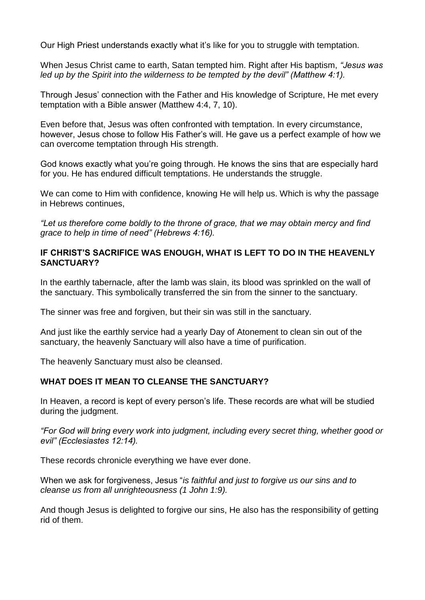Our High Priest understands exactly what it's like for you to struggle with temptation.

When Jesus Christ came to earth, Satan tempted him. Right after His baptism, *"Jesus was led up by the Spirit into the wilderness to be tempted by the devil" (Matthew 4:1).*

Through Jesus' connection with the Father and His knowledge of Scripture, He met every temptation with a Bible answer (Matthew 4:4, 7, 10).

Even before that, Jesus was often confronted with temptation. In every circumstance, however, Jesus chose to follow His Father's will. He gave us a perfect example of how we can overcome temptation through His strength.

God knows exactly what you're going through. He knows the sins that are especially hard for you. He has endured difficult temptations. He understands the struggle.

We can come to Him with confidence, knowing He will help us. Which is why the passage in Hebrews continues,

*"Let us therefore come boldly to the throne of grace, that we may obtain mercy and find grace to help in time of need" (Hebrews 4:16).*

## **IF CHRIST'S SACRIFICE WAS ENOUGH, WHAT IS LEFT TO DO IN THE HEAVENLY SANCTUARY?**

In the earthly tabernacle, after the lamb was slain, its blood was sprinkled on the wall of the sanctuary. This symbolically transferred the sin from the sinner to the sanctuary.

The sinner was free and forgiven, but their sin was still in the sanctuary.

And just like the earthly service had a yearly Day of Atonement to clean sin out of the sanctuary, the heavenly Sanctuary will also have a time of purification.

The heavenly Sanctuary must also be cleansed.

# **WHAT DOES IT MEAN TO CLEANSE THE SANCTUARY?**

In Heaven, a record is kept of every person's life. These records are what will be studied during the judgment.

*"For God will bring every work into judgment, including every secret thing, whether good or evil" (Ecclesiastes 12:14).*

These records chronicle everything we have ever done.

When we ask for forgiveness, Jesus "*is faithful and just to forgive us our sins and to cleanse us from all unrighteousness (1 John 1:9).*

And though Jesus is delighted to forgive our sins, He also has the responsibility of getting rid of them.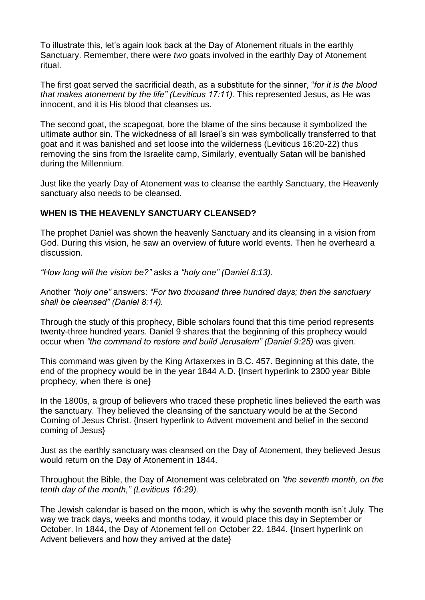To illustrate this, let's again look back at the Day of Atonement rituals in the earthly Sanctuary. Remember, there were *two* goats involved in the earthly Day of Atonement ritual.

The first goat served the sacrificial death, as a substitute for the sinner, "*for it is the blood that makes atonement by the life" (Leviticus 17:11).* This represented Jesus, as He was innocent, and it is His blood that cleanses us.

The second goat, the scapegoat, bore the blame of the sins because it symbolized the ultimate author sin. The wickedness of all Israel's sin was symbolically transferred to that goat and it was banished and set loose into the wilderness (Leviticus 16:20-22) thus removing the sins from the Israelite camp, Similarly, eventually Satan will be banished during the Millennium.

Just like the yearly Day of Atonement was to cleanse the earthly Sanctuary, the Heavenly sanctuary also needs to be cleansed.

## **WHEN IS THE HEAVENLY SANCTUARY CLEANSED?**

The prophet Daniel was shown the heavenly Sanctuary and its cleansing in a vision from God. During this vision, he saw an overview of future world events. Then he overheard a discussion.

*"How long will the vision be?"* asks a *"holy one" (Daniel 8:13).*

Another *"holy one"* answers: *"For two thousand three hundred days; then the sanctuary shall be cleansed" (Daniel 8:14).*

Through the study of this prophecy, Bible scholars found that this time period represents twenty-three hundred years. Daniel 9 shares that the beginning of this prophecy would occur when *"the command to restore and build Jerusalem" (Daniel 9:25)* was given.

This command was given by the King Artaxerxes in B.C. 457. Beginning at this date, the end of the prophecy would be in the year 1844 A.D. {Insert hyperlink to 2300 year Bible prophecy, when there is one}

In the 1800s, a group of believers who traced these prophetic lines believed the earth was the sanctuary. They believed the cleansing of the sanctuary would be at the Second Coming of Jesus Christ. {Insert hyperlink to Advent movement and belief in the second coming of Jesus}

Just as the earthly sanctuary was cleansed on the Day of Atonement, they believed Jesus would return on the Day of Atonement in 1844.

Throughout the Bible, the Day of Atonement was celebrated on *"the seventh month, on the tenth day of the month," (Leviticus 16:29).*

The Jewish calendar is based on the moon, which is why the seventh month isn't July. The way we track days, weeks and months today, it would place this day in September or October. In 1844, the Day of Atonement fell on October 22, 1844. {Insert hyperlink on Advent believers and how they arrived at the date}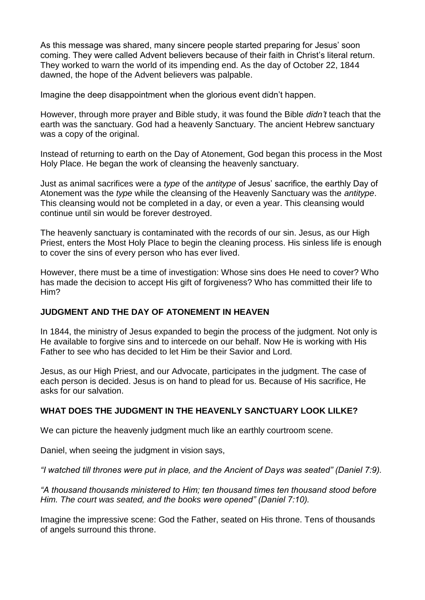As this message was shared, many sincere people started preparing for Jesus' soon coming. They were called Advent believers because of their faith in Christ's literal return. They worked to warn the world of its impending end. As the day of October 22, 1844 dawned, the hope of the Advent believers was palpable.

Imagine the deep disappointment when the glorious event didn't happen.

However, through more prayer and Bible study, it was found the Bible *didn't* teach that the earth was the sanctuary. God had a heavenly Sanctuary. The ancient Hebrew sanctuary was a copy of the original.

Instead of returning to earth on the Day of Atonement, God began this process in the Most Holy Place. He began the work of cleansing the heavenly sanctuary.

Just as animal sacrifices were a *type* of the *antitype* of Jesus' sacrifice, the earthly Day of Atonement was the *type* while the cleansing of the Heavenly Sanctuary was the *antitype*. This cleansing would not be completed in a day, or even a year. This cleansing would continue until sin would be forever destroyed.

The heavenly sanctuary is contaminated with the records of our sin. Jesus, as our High Priest, enters the Most Holy Place to begin the cleaning process. His sinless life is enough to cover the sins of every person who has ever lived.

However, there must be a time of investigation: Whose sins does He need to cover? Who has made the decision to accept His gift of forgiveness? Who has committed their life to Him?

# **JUDGMENT AND THE DAY OF ATONEMENT IN HEAVEN**

In 1844, the ministry of Jesus expanded to begin the process of the judgment. Not only is He available to forgive sins and to intercede on our behalf. Now He is working with His Father to see who has decided to let Him be their Savior and Lord.

Jesus, as our High Priest, and our Advocate, participates in the judgment. The case of each person is decided. Jesus is on hand to plead for us. Because of His sacrifice, He asks for our salvation.

# **WHAT DOES THE JUDGMENT IN THE HEAVENLY SANCTUARY LOOK LILKE?**

We can picture the heavenly judgment much like an earthly courtroom scene.

Daniel, when seeing the judgment in vision says,

*"I watched till thrones were put in place, and the Ancient of Days was seated" (Daniel 7:9).*

*"A thousand thousands ministered to Him; ten thousand times ten thousand stood before Him. The court was seated, and the books were opened" (Daniel 7:10).*

Imagine the impressive scene: God the Father, seated on His throne. Tens of thousands of angels surround this throne.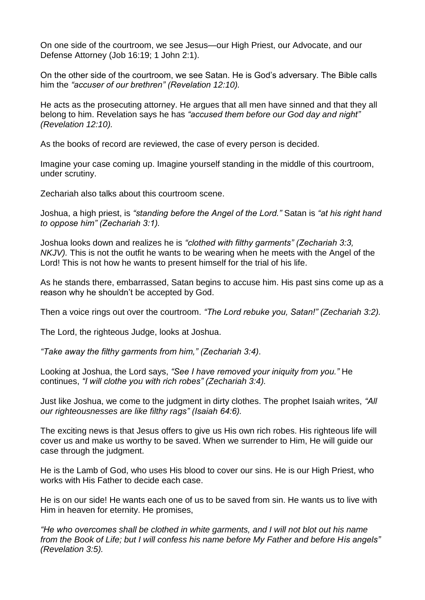On one side of the courtroom, we see Jesus—our High Priest, our Advocate, and our Defense Attorney (Job 16:19; 1 John 2:1).

On the other side of the courtroom, we see Satan. He is God's adversary. The Bible calls him the *"accuser of our brethren" (Revelation 12:10).*

He acts as the prosecuting attorney. He argues that all men have sinned and that they all belong to him. Revelation says he has *"accused them before our God day and night" (Revelation 12:10).*

As the books of record are reviewed, the case of every person is decided.

Imagine your case coming up. Imagine yourself standing in the middle of this courtroom, under scrutiny.

Zechariah also talks about this courtroom scene.

Joshua, a high priest, is *"standing before the Angel of the Lord."* Satan is *"at his right hand to oppose him" (Zechariah 3:1).*

Joshua looks down and realizes he is *"clothed with filthy garments" (Zechariah 3:3, NKJV).* This is not the outfit he wants to be wearing when he meets with the Angel of the Lord! This is not how he wants to present himself for the trial of his life.

As he stands there, embarrassed, Satan begins to accuse him. His past sins come up as a reason why he shouldn't be accepted by God.

Then a voice rings out over the courtroom. *"The Lord rebuke you, Satan!" (Zechariah 3:2).*

The Lord, the righteous Judge, looks at Joshua.

*"Take away the filthy garments from him," (Zechariah 3:4)*.

Looking at Joshua, the Lord says, *"See I have removed your iniquity from you."* He continues, *"I will clothe you with rich robes" (Zechariah 3:4).*

Just like Joshua, we come to the judgment in dirty clothes. The prophet Isaiah writes, *"All our righteousnesses are like filthy rags" (Isaiah 64:6).*

The exciting news is that Jesus offers to give us His own rich robes. His righteous life will cover us and make us worthy to be saved. When we surrender to Him, He will guide our case through the judgment.

He is the Lamb of God, who uses His blood to cover our sins. He is our High Priest, who works with His Father to decide each case.

He is on our side! He wants each one of us to be saved from sin. He wants us to live with Him in heaven for eternity. He promises,

*"He who overcomes shall be clothed in white garments, and I will not blot out his name from the Book of Life; but I will confess his name before My Father and before His angels" (Revelation 3:5).*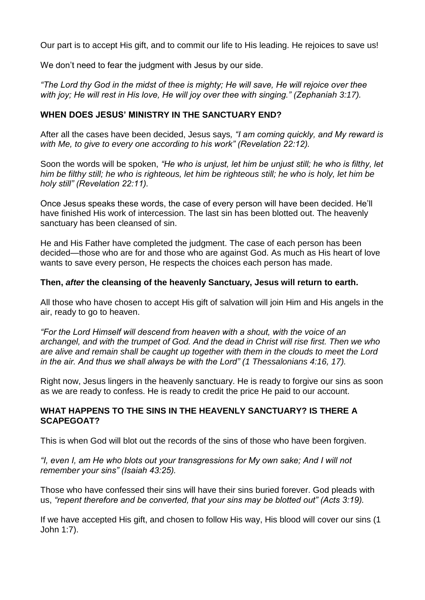Our part is to accept His gift, and to commit our life to His leading. He rejoices to save us!

We don't need to fear the judgment with Jesus by our side.

*"The Lord thy God in the midst of thee is mighty; He will save, He will rejoice over thee with joy; He will rest in His love, He will joy over thee with singing." (Zephaniah 3:17).*

## **WHEN DOES JESUS' MINISTRY IN THE SANCTUARY END?**

After all the cases have been decided, Jesus says*, "I am coming quickly, and My reward is with Me, to give to every one according to his work" (Revelation 22:12).*

Soon the words will be spoken, *"He who is unjust, let him be unjust still; he who is filthy, let him be filthy still; he who is righteous, let him be righteous still; he who is holy, let him be holy still" (Revelation 22:11).*

Once Jesus speaks these words, the case of every person will have been decided. He'll have finished His work of intercession. The last sin has been blotted out. The heavenly sanctuary has been cleansed of sin.

He and His Father have completed the judgment. The case of each person has been decided—those who are for and those who are against God. As much as His heart of love wants to save every person, He respects the choices each person has made.

#### **Then,** *after* **the cleansing of the heavenly Sanctuary, Jesus will return to earth.**

All those who have chosen to accept His gift of salvation will join Him and His angels in the air, ready to go to heaven.

*"For the Lord Himself will descend from heaven with a shout, with the voice of an archangel, and with the trumpet of God. And the dead in Christ will rise first. Then we who are alive and remain shall be caught up together with them in the clouds to meet the Lord in the air. And thus we shall always be with the Lord" (1 Thessalonians 4:16, 17).*

Right now, Jesus lingers in the heavenly sanctuary. He is ready to forgive our sins as soon as we are ready to confess. He is ready to credit the price He paid to our account.

### **WHAT HAPPENS TO THE SINS IN THE HEAVENLY SANCTUARY? IS THERE A SCAPEGOAT?**

This is when God will blot out the records of the sins of those who have been forgiven.

*"I, even I, am He who blots out your transgressions for My own sake; And I will not remember your sins" (Isaiah 43:25).*

Those who have confessed their sins will have their sins buried forever. God pleads with us, *"repent therefore and be converted, that your sins may be blotted out" (Acts 3:19).*

If we have accepted His gift, and chosen to follow His way, His blood will cover our sins (1 John 1:7).